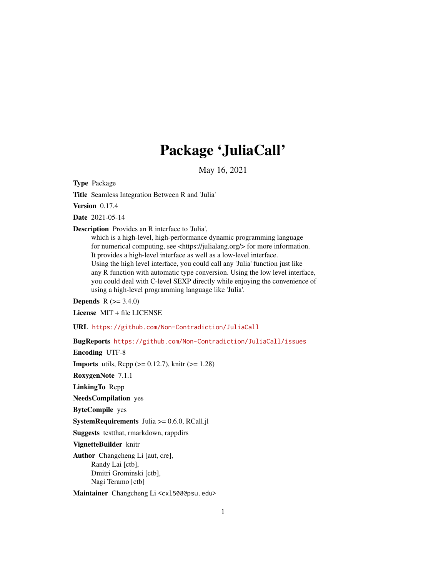# Package 'JuliaCall'

May 16, 2021

Type Package

Title Seamless Integration Between R and 'Julia'

Version 0.17.4

Date 2021-05-14

Description Provides an R interface to 'Julia',

which is a high-level, high-performance dynamic programming language for numerical computing, see <https://julialang.org/> for more information. It provides a high-level interface as well as a low-level interface. Using the high level interface, you could call any 'Julia' function just like any R function with automatic type conversion. Using the low level interface, you could deal with C-level SEXP directly while enjoying the convenience of using a high-level programming language like 'Julia'.

**Depends**  $R (= 3.4.0)$ 

License MIT + file LICENSE

URL <https://github.com/Non-Contradiction/JuliaCall>

BugReports <https://github.com/Non-Contradiction/JuliaCall/issues>

Encoding UTF-8

**Imports** utils,  $\text{Rcpp} (> = 0.12.7)$ , knitr ( $>= 1.28$ )

RoxygenNote 7.1.1

LinkingTo Rcpp

NeedsCompilation yes

ByteCompile yes

SystemRequirements Julia >= 0.6.0, RCall.jl

Suggests testthat, rmarkdown, rappdirs

VignetteBuilder knitr

Author Changcheng Li [aut, cre], Randy Lai [ctb], Dmitri Grominski [ctb], Nagi Teramo [ctb]

Maintainer Changcheng Li <cx1508@psu.edu>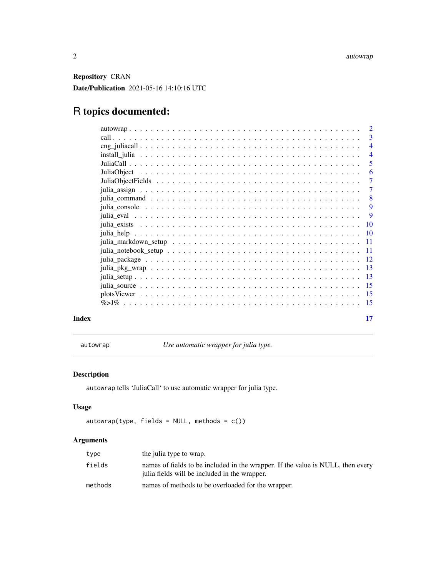<span id="page-1-0"></span>Repository CRAN Date/Publication 2021-05-16 14:10:16 UTC

## R topics documented:

|       | -3             |
|-------|----------------|
|       | $\overline{4}$ |
|       | $\overline{4}$ |
|       | 5              |
|       | -6             |
|       | $\overline{7}$ |
|       | $\overline{7}$ |
|       | $\overline{8}$ |
|       | 9              |
|       | 9              |
|       |                |
|       |                |
|       |                |
|       |                |
|       |                |
|       |                |
|       |                |
|       |                |
|       |                |
|       |                |
| Index | 17             |

autowrap *Use automatic wrapper for julia type.*

### Description

autowrap tells 'JuliaCall' to use automatic wrapper for julia type.

#### Usage

```
autowrap(type, fields = NULL, methods = c())
```
#### Arguments

| type    | the julia type to wrap.                                                                                                          |
|---------|----------------------------------------------------------------------------------------------------------------------------------|
| fields  | names of fields to be included in the wrapper. If the value is NULL, then every<br>julia fields will be included in the wrapper. |
| methods | names of methods to be overloaded for the wrapper.                                                                               |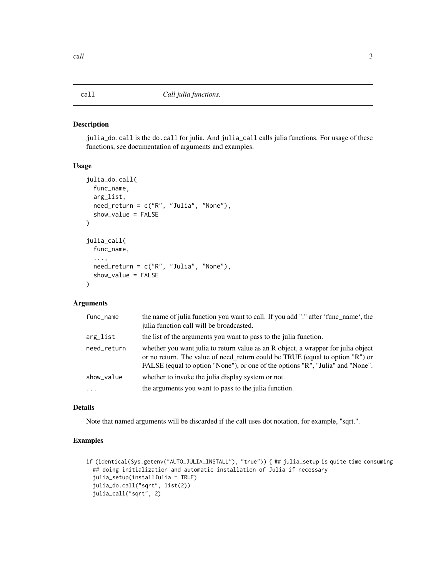<span id="page-2-0"></span>julia\_do.call is the do.call for julia. And julia\_call calls julia functions. For usage of these functions, see documentation of arguments and examples.

#### Usage

```
julia_do.call(
 func_name,
  arg_list,
 need_return = c("R", "Julia", "None"),show_value = FALSE
\lambdajulia_call(
  func_name,
  ...,
 need_return = c("R", "Julia", "None"),
  show_value = FALSE
)
```
#### Arguments

| func_name   | the name of julia function you want to call. If you add "." after 'func_name', the<br>julia function call will be broadcasted.                                                                                                                       |
|-------------|------------------------------------------------------------------------------------------------------------------------------------------------------------------------------------------------------------------------------------------------------|
| arg_list    | the list of the arguments you want to pass to the julia function.                                                                                                                                                                                    |
| need_return | whether you want julia to return value as an R object, a wrapper for julia object<br>or no return. The value of need_return could be TRUE (equal to option "R") or<br>FALSE (equal to option "None"), or one of the options "R", "Julia" and "None". |
| show_value  | whether to invoke the julia display system or not.                                                                                                                                                                                                   |
| $\ddotsc$   | the arguments you want to pass to the julia function.                                                                                                                                                                                                |

#### Details

Note that named arguments will be discarded if the call uses dot notation, for example, "sqrt.".

```
if (identical(Sys.getenv("AUTO_JULIA_INSTALL"), "true")) { ## julia_setup is quite time consuming
 ## doing initialization and automatic installation of Julia if necessary
 julia_setup(installJulia = TRUE)
 julia_do.call("sqrt", list(2))
 julia_call("sqrt", 2)
```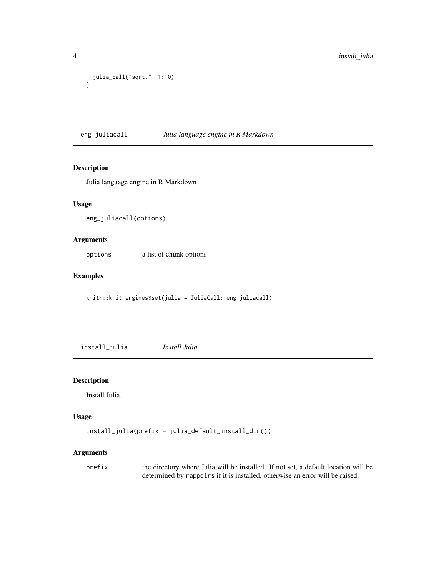```
julia_call("sqrt.", 1:10)
}
```
eng\_juliacall *Julia language engine in R Markdown*

#### Description

Julia language engine in R Markdown

#### Usage

eng\_juliacall(options)

#### Arguments

options a list of chunk options

#### Examples

knitr::knit\_engines\$set(julia = JuliaCall::eng\_juliacall)

install\_julia *Install Julia.*

### Description

Install Julia.

#### Usage

```
install_julia(prefix = julia_default_install_dir())
```
### Arguments

prefix the directory where Julia will be installed. If not set, a default location will be determined by rappdirs if it is installed, otherwise an error will be raised.

<span id="page-3-0"></span>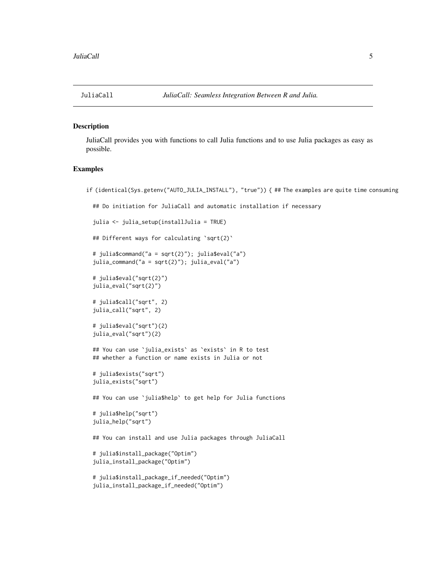<span id="page-4-0"></span>

JuliaCall provides you with functions to call Julia functions and to use Julia packages as easy as possible.

```
if (identical(Sys.getenv("AUTO_JULIA_INSTALL"), "true")) { ## The examples are quite time consuming
 ## Do initiation for JuliaCall and automatic installation if necessary
 julia <- julia_setup(installJulia = TRUE)
 ## Different ways for calculating `sqrt(2)`
 # julia$command("a = sqrt(2)"); julia$eval("a")
 julia_command("a = sqrt(2)"); julia_eval("a")
 # julia$eval("sqrt(2)")
 julia_eval("sqrt(2)")
 # julia$call("sqrt", 2)
 julia_call("sqrt", 2)
 # julia$eval("sqrt")(2)
 julia_eval("sqrt")(2)
 ## You can use `julia_exists` as `exists` in R to test
 ## whether a function or name exists in Julia or not
 # julia$exists("sqrt")
 julia_exists("sqrt")
 ## You can use `julia$help` to get help for Julia functions
 # julia$help("sqrt")
 julia_help("sqrt")
 ## You can install and use Julia packages through JuliaCall
```

```
# julia$install_package("Optim")
julia_install_package("Optim")
```

```
# julia$install_package_if_needed("Optim")
julia_install_package_if_needed("Optim")
```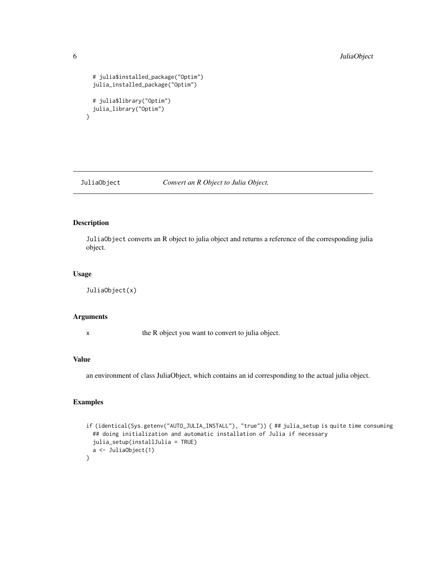```
# julia$installed_package("Optim")
 julia_installed_package("Optim")
 # julia$library("Optim")
 julia_library("Optim")
}
```
JuliaObject *Convert an R Object to Julia Object.*

#### Description

JuliaObject converts an R object to julia object and returns a reference of the corresponding julia object.

#### Usage

JuliaObject(x)

#### Arguments

x the R object you want to convert to julia object.

#### Value

an environment of class JuliaObject, which contains an id corresponding to the actual julia object.

```
if (identical(Sys.getenv("AUTO_JULIA_INSTALL"), "true")) { ## julia_setup is quite time consuming
 ## doing initialization and automatic installation of Julia if necessary
 julia_setup(installJulia = TRUE)
 a <- JuliaObject(1)
}
```
<span id="page-5-0"></span>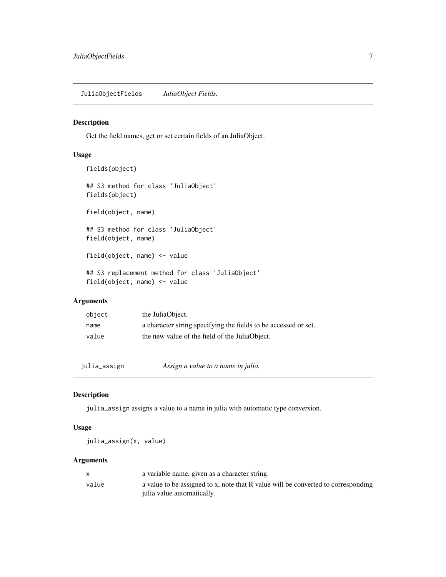<span id="page-6-0"></span>JuliaObjectFields *JuliaObject Fields.*

#### Description

Get the field names, get or set certain fields of an JuliaObject.

#### Usage

```
fields(object)
## S3 method for class 'JuliaObject'
fields(object)
field(object, name)
## S3 method for class 'JuliaObject'
field(object, name)
field(object, name) <- value
## S3 replacement method for class 'JuliaObject'
field(object, name) <- value
```
### Arguments

| object | the JuliaObject.                                                |
|--------|-----------------------------------------------------------------|
| name   | a character string specifying the fields to be accessed or set. |
| value  | the new value of the field of the JuliaObject.                  |

julia\_assign *Assign a value to a name in julia.*

#### Description

julia\_assign assigns a value to a name in julia with automatic type conversion.

#### Usage

julia\_assign(x, value)

#### Arguments

|       | a variable name, given as a character string.                                     |
|-------|-----------------------------------------------------------------------------------|
| value | a value to be assigned to x, note that R value will be converted to corresponding |
|       | julia value automatically.                                                        |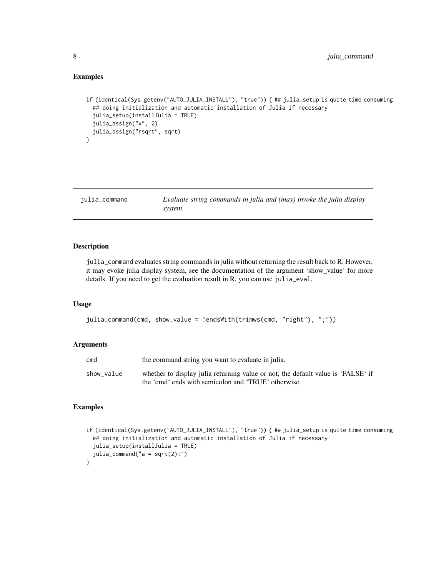#### <span id="page-7-0"></span>Examples

```
if (identical(Sys.getenv("AUTO_JULIA_INSTALL"), "true")) { ## julia_setup is quite time consuming
 ## doing initialization and automatic installation of Julia if necessary
 julia_setup(installJulia = TRUE)
 julia_assign("x", 2)
 julia_assign("rsqrt", sqrt)
}
```
julia\_command *Evaluate string commands in julia and (may) invoke the julia display system.*

#### Description

julia\_command evaluates string commands in julia without returning the result back to R. However, it may evoke julia display system, see the documentation of the argument 'show\_value' for more details. If you need to get the evaluation result in R, you can use julia\_eval.

#### Usage

```
julia_command(cmd, show_value = !endsWith(trimws(cmd, "right"), ";"))
```
#### Arguments

| cmd        | the command string you want to evaluate in julia.                                |
|------------|----------------------------------------------------------------------------------|
| show value | whether to display julia returning value or not, the default value is 'FALSE' if |
|            | the 'cmd' ends with semicolon and 'TRUE' otherwise.                              |

```
if (identical(Sys.getenv("AUTO_JULIA_INSTALL"), "true")) { ## julia_setup is quite time consuming
 ## doing initialization and automatic installation of Julia if necessary
 julia_setup(installJulia = TRUE)
 julia_command("a = sqrt(2);")
}
```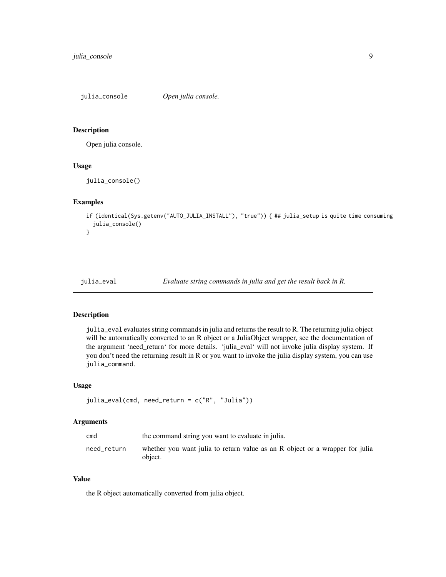<span id="page-8-0"></span>julia\_console *Open julia console.*

#### Description

Open julia console.

#### Usage

julia\_console()

#### Examples

```
if (identical(Sys.getenv("AUTO_JULIA_INSTALL"), "true")) { ## julia_setup is quite time consuming
 julia_console()
}
```
julia\_eval *Evaluate string commands in julia and get the result back in R.*

#### Description

julia\_eval evaluates string commands in julia and returns the result to R. The returning julia object will be automatically converted to an R object or a JuliaObject wrapper, see the documentation of the argument 'need\_return' for more details. 'julia\_eval' will not invoke julia display system. If you don't need the returning result in R or you want to invoke the julia display system, you can use julia\_command.

#### Usage

```
julia_eval(cmd, need_return = c("R", "Julia"))
```
#### Arguments

| cmd         | the command string you want to evaluate in julia.                                       |
|-------------|-----------------------------------------------------------------------------------------|
| need_return | whether you want julia to return value as an R object or a wrapper for julia<br>object. |

#### Value

the R object automatically converted from julia object.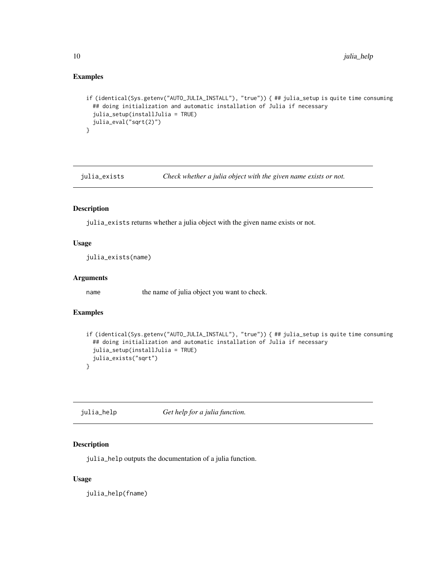#### <span id="page-9-0"></span>Examples

```
if (identical(Sys.getenv("AUTO_JULIA_INSTALL"), "true")) { ## julia_setup is quite time consuming
 ## doing initialization and automatic installation of Julia if necessary
 julia_setup(installJulia = TRUE)
 julia_eval("sqrt(2)")
}
```
julia\_exists *Check whether a julia object with the given name exists or not.*

#### Description

julia\_exists returns whether a julia object with the given name exists or not.

#### Usage

julia\_exists(name)

#### Arguments

name the name of julia object you want to check.

#### Examples

```
if (identical(Sys.getenv("AUTO_JULIA_INSTALL"), "true")) { ## julia_setup is quite time consuming
 ## doing initialization and automatic installation of Julia if necessary
 julia_setup(installJulia = TRUE)
 julia_exists("sqrt")
}
```
julia\_help *Get help for a julia function.*

#### Description

julia\_help outputs the documentation of a julia function.

#### Usage

julia\_help(fname)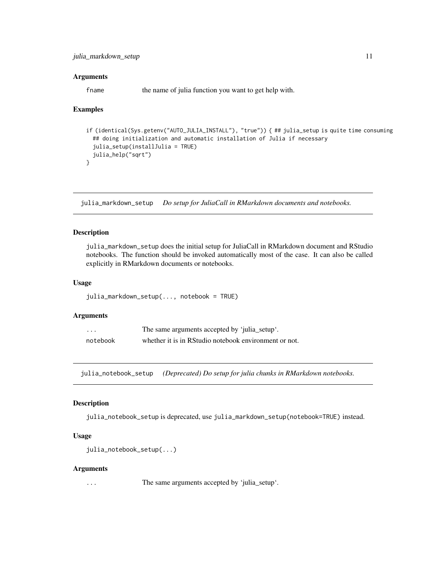#### <span id="page-10-0"></span>Arguments

fname the name of julia function you want to get help with.

#### Examples

```
if (identical(Sys.getenv("AUTO_JULIA_INSTALL"), "true")) { ## julia_setup is quite time consuming
 ## doing initialization and automatic installation of Julia if necessary
 julia_setup(installJulia = TRUE)
 julia_help("sqrt")
}
```
julia\_markdown\_setup *Do setup for JuliaCall in RMarkdown documents and notebooks.*

#### Description

julia\_markdown\_setup does the initial setup for JuliaCall in RMarkdown document and RStudio notebooks. The function should be invoked automatically most of the case. It can also be called explicitly in RMarkdown documents or notebooks.

#### Usage

```
julia_markdown_setup(..., notebook = TRUE)
```
#### Arguments

| .        | The same arguments accepted by 'julia_setup'.         |
|----------|-------------------------------------------------------|
| notebook | whether it is in RStudio notebook environment or not. |

julia\_notebook\_setup *(Deprecated) Do setup for julia chunks in RMarkdown notebooks.*

#### Description

julia\_notebook\_setup is deprecated, use julia\_markdown\_setup(notebook=TRUE) instead.

#### Usage

```
julia_notebook_setup(...)
```
#### Arguments

... The same arguments accepted by 'julia\_setup'.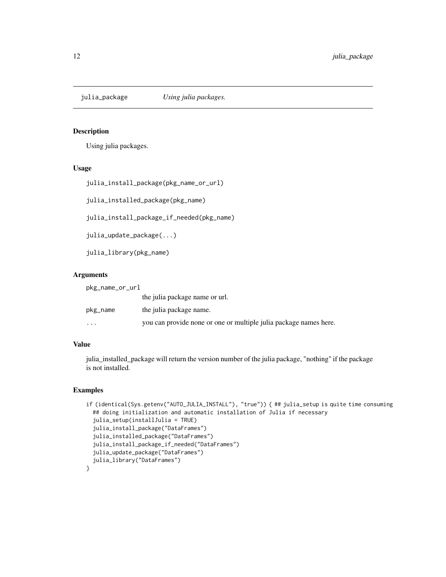<span id="page-11-0"></span>

Using julia packages.

#### Usage

```
julia_install_package(pkg_name_or_url)
```
julia\_installed\_package(pkg\_name)

julia\_install\_package\_if\_needed(pkg\_name)

julia\_update\_package(...)

julia\_library(pkg\_name)

#### Arguments

pkg\_name\_or\_url

|          | the julia package name or url.                                    |
|----------|-------------------------------------------------------------------|
| pkg_name | the julia package name.                                           |
| $\cdots$ | you can provide none or one or multiple julia package names here. |

#### Value

julia\_installed\_package will return the version number of the julia package, "nothing" if the package is not installed.

```
if (identical(Sys.getenv("AUTO_JULIA_INSTALL"), "true")) { ## julia_setup is quite time consuming
 ## doing initialization and automatic installation of Julia if necessary
 julia_setup(installJulia = TRUE)
 julia_install_package("DataFrames")
 julia_installed_package("DataFrames")
 julia_install_package_if_needed("DataFrames")
 julia_update_package("DataFrames")
 julia_library("DataFrames")
}
```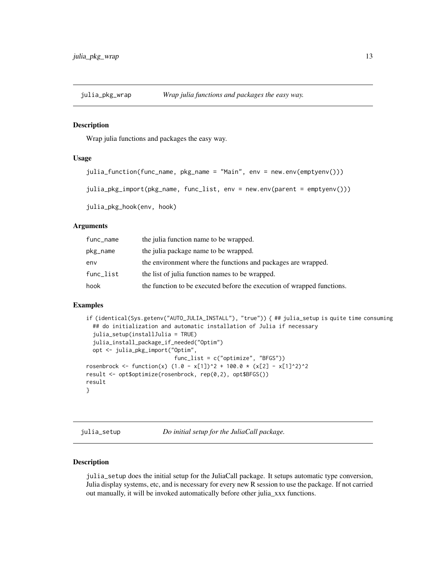<span id="page-12-0"></span>

Wrap julia functions and packages the easy way.

#### Usage

```
julia_function(func_name, pkg_name = "Main", env = new.env(emptyenv()))
```
julia\_pkg\_import(pkg\_name, func\_list, env = new.env(parent = emptyenv()))

julia\_pkg\_hook(env, hook)

#### Arguments

| func_name | the julia function name to be wrapped.                                 |
|-----------|------------------------------------------------------------------------|
| pkg_name  | the julia package name to be wrapped.                                  |
| env       | the environment where the functions and packages are wrapped.          |
| func_list | the list of julia function names to be wrapped.                        |
| hook      | the function to be executed before the execution of wrapped functions. |

#### Examples

```
if (identical(Sys.getenv("AUTO_JULIA_INSTALL"), "true")) { ## julia_setup is quite time consuming
 ## do initialization and automatic installation of Julia if necessary
 julia_setup(installJulia = TRUE)
 julia_install_package_if_needed("Optim")
 opt <- julia_pkg_import("Optim",
                           func_list = c("optimize", "BFGS"))
rosenbrock <- function(x) (1.0 - x[1])^2 + 100.0 \times (x[2] - x[1]^2)^2result <- opt$optimize(rosenbrock, rep(0,2), opt$BFGS())
result
}
```
julia\_setup *Do initial setup for the JuliaCall package.*

#### Description

julia\_setup does the initial setup for the JuliaCall package. It setups automatic type conversion, Julia display systems, etc, and is necessary for every new R session to use the package. If not carried out manually, it will be invoked automatically before other julia\_xxx functions.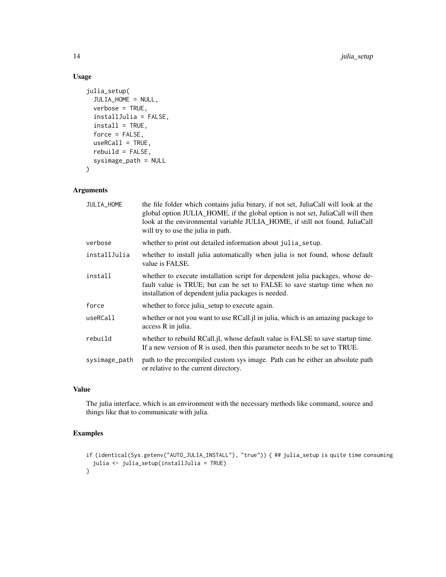### Usage

```
julia_setup(
  JULIA_HOME = NULL,
 verbose = TRUE,
  installJulia = FALSE,
  install = TRUE,
  force = FALSE,
 useRCall = TRUE,rebuild = FALSE,sysimage_path = NULL
)
```
#### Arguments

| JULIA_HOME    | the file folder which contains julia binary, if not set, JuliaCall will look at the<br>global option JULIA_HOME, if the global option is not set, JuliaCall will then<br>look at the environmental variable JULIA_HOME, if still not found, JuliaCall<br>will try to use the julia in path. |
|---------------|---------------------------------------------------------------------------------------------------------------------------------------------------------------------------------------------------------------------------------------------------------------------------------------------|
| verbose       | whether to print out detailed information about julia_setup.                                                                                                                                                                                                                                |
| installJulia  | whether to install julia automatically when julia is not found, whose default<br>value is FALSE.                                                                                                                                                                                            |
| install       | whether to execute installation script for dependent julia packages, whose de-<br>fault value is TRUE; but can be set to FALSE to save startup time when no<br>installation of dependent julia packages is needed.                                                                          |
| force         | whether to force julia_setup to execute again.                                                                                                                                                                                                                                              |
| useRCall      | whether or not you want to use RCall. il in julia, which is an amazing package to<br>access R in julia.                                                                                                                                                                                     |
| rebuild       | whether to rebuild RCall.jl, whose default value is FALSE to save startup time.<br>If a new version of R is used, then this parameter needs to be set to TRUE.                                                                                                                              |
| sysimage_path | path to the precompiled custom sys image. Path can be either an absolute path<br>or relative to the current directory.                                                                                                                                                                      |

### Value

The julia interface, which is an environment with the necessary methods like command, source and things like that to communicate with julia.

```
if (identical(Sys.getenv("AUTO_JULIA_INSTALL"), "true")) { ## julia_setup is quite time consuming
 julia <- julia_setup(installJulia = TRUE)
}
```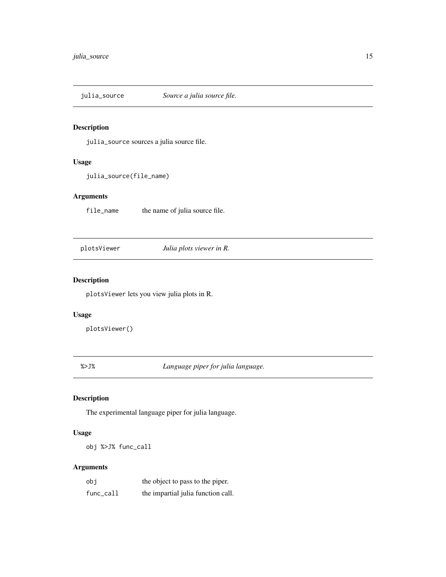<span id="page-14-0"></span>julia\_source *Source a julia source file.*

#### Description

julia\_source sources a julia source file.

#### Usage

julia\_source(file\_name)

#### Arguments

file\_name the name of julia source file.

plotsViewer *Julia plots viewer in R.*

#### Description

plotsViewer lets you view julia plots in R.

#### Usage

plotsViewer()

%>J% *Language piper for julia language.*

#### Description

The experimental language piper for julia language.

#### Usage

obj %>J% func\_call

#### Arguments

| obi       | the object to pass to the piper.   |
|-----------|------------------------------------|
| func_call | the impartial julia function call. |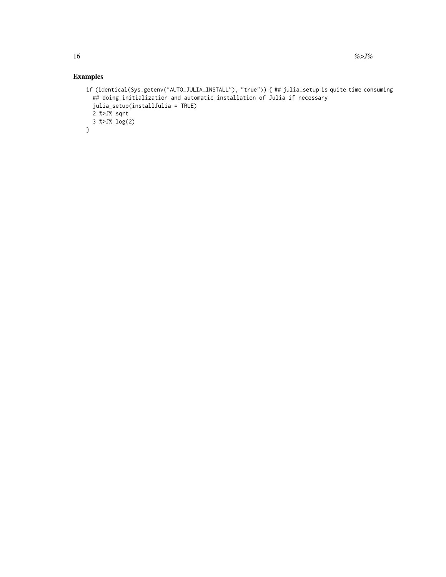```
if (identical(Sys.getenv("AUTO_JULIA_INSTALL"), "true")) { ## julia_setup is quite time consuming
  ## doing initialization and automatic installation of Julia if necessary
 julia_setup(installJulia = TRUE)
 2 %>J% sqrt
 3 %>J% log(2)
}
```